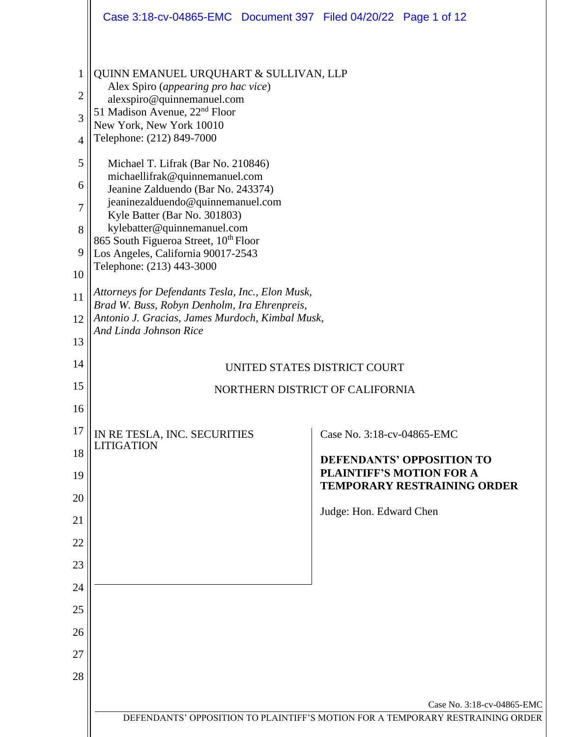|                                                                        | Case 3:18-cv-04865-EMC  Document 397  Filed 04/20/22  Page 1 of 12                                                                                                                                                                                                                                                                                                                                                                                                                                                                                          |                                                                                                                                                                    |
|------------------------------------------------------------------------|-------------------------------------------------------------------------------------------------------------------------------------------------------------------------------------------------------------------------------------------------------------------------------------------------------------------------------------------------------------------------------------------------------------------------------------------------------------------------------------------------------------------------------------------------------------|--------------------------------------------------------------------------------------------------------------------------------------------------------------------|
| $\mathbf 1$<br>$\overline{2}$<br>3<br>4<br>5<br>6<br>7<br>8<br>9<br>10 | QUINN EMANUEL URQUHART & SULLIVAN, LLP<br>Alex Spiro (appearing pro hac vice)<br>alexspiro@quinnemanuel.com<br>51 Madison Avenue, 22 <sup>nd</sup> Floor<br>New York, New York 10010<br>Telephone: (212) 849-7000<br>Michael T. Lifrak (Bar No. 210846)<br>michaellifrak@quinnemanuel.com<br>Jeanine Zalduendo (Bar No. 243374)<br>jeaninezalduendo@quinnemanuel.com<br>Kyle Batter (Bar No. 301803)<br>kylebatter@quinnemanuel.com<br>865 South Figueroa Street, 10 <sup>th</sup> Floor<br>Los Angeles, California 90017-2543<br>Telephone: (213) 443-3000 |                                                                                                                                                                    |
| 11<br>12<br>13                                                         | Attorneys for Defendants Tesla, Inc., Elon Musk,<br>Brad W. Buss, Robyn Denholm, Ira Ehrenpreis,<br>Antonio J. Gracias, James Murdoch, Kimbal Musk,<br>And Linda Johnson Rice                                                                                                                                                                                                                                                                                                                                                                               |                                                                                                                                                                    |
| 14                                                                     | UNITED STATES DISTRICT COURT                                                                                                                                                                                                                                                                                                                                                                                                                                                                                                                                |                                                                                                                                                                    |
| 15<br>16                                                               |                                                                                                                                                                                                                                                                                                                                                                                                                                                                                                                                                             | NORTHERN DISTRICT OF CALIFORNIA                                                                                                                                    |
| 17<br>18<br>19<br>20<br>21<br>22<br>23<br>24<br>25<br>26<br>27<br>28   | IN RE TESLA, INC. SECURITIES<br><b>LITIGATION</b>                                                                                                                                                                                                                                                                                                                                                                                                                                                                                                           | Case No. 3:18-cv-04865-EMC<br><b>DEFENDANTS' OPPOSITION TO</b><br><b>PLAINTIFF'S MOTION FOR A</b><br><b>TEMPORARY RESTRAINING ORDER</b><br>Judge: Hon. Edward Chen |
|                                                                        |                                                                                                                                                                                                                                                                                                                                                                                                                                                                                                                                                             | Case No. 3:18-cv-04865-EMC                                                                                                                                         |
|                                                                        |                                                                                                                                                                                                                                                                                                                                                                                                                                                                                                                                                             | DEFENDANTS' OPPOSITION TO PLAINTIFF'S MOTION FOR A TEMPORARY RESTRAINING ORDER                                                                                     |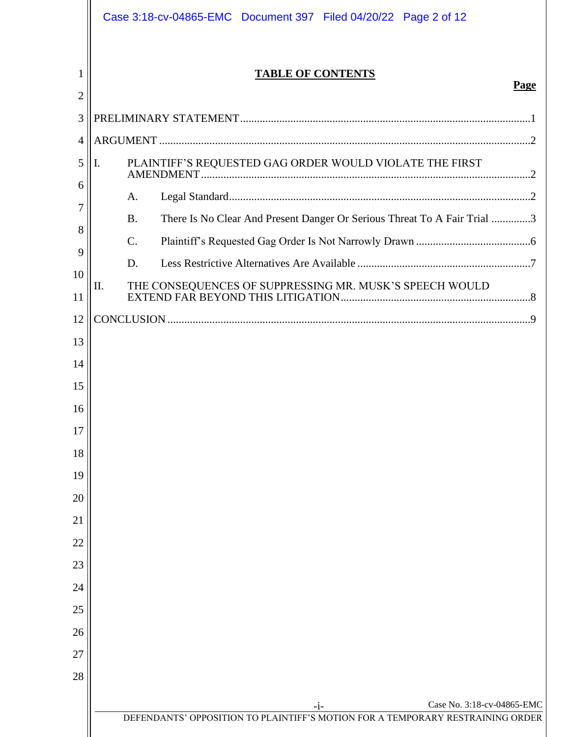|        | Case 3:18-cv-04865-EMC  Document 397  Filed 04/20/22  Page 2 of 12                    |
|--------|---------------------------------------------------------------------------------------|
| 1<br>2 | <b>TABLE OF CONTENTS</b><br>Page                                                      |
| 3      |                                                                                       |
| 4      |                                                                                       |
| 5      | Ι.                                                                                    |
| 6      | A.                                                                                    |
| 7      | There Is No Clear And Present Danger Or Serious Threat To A Fair Trial 3<br><b>B.</b> |
| 8      | $\mathcal{C}$ .                                                                       |
| 9      | D.                                                                                    |
| 10     | II.                                                                                   |
| 11     |                                                                                       |
| 12     |                                                                                       |
| 13     |                                                                                       |
| 14     |                                                                                       |
| 15     |                                                                                       |
| 16     |                                                                                       |
| 17     |                                                                                       |
| 18     |                                                                                       |
| 19     |                                                                                       |
| 20     |                                                                                       |
| 21     |                                                                                       |
| 22     |                                                                                       |
| 23     |                                                                                       |
| 24     |                                                                                       |
| 25     |                                                                                       |
| 26     |                                                                                       |
| 27     |                                                                                       |
| 28     |                                                                                       |
|        | Case No. 3:18-cv-04865-EMC<br>$-i-$                                                   |
|        | DEFENDANTS' OPPOSITION TO PLAINTIFF'S MOTION FOR A TEMPORARY RESTRAINING ORDER        |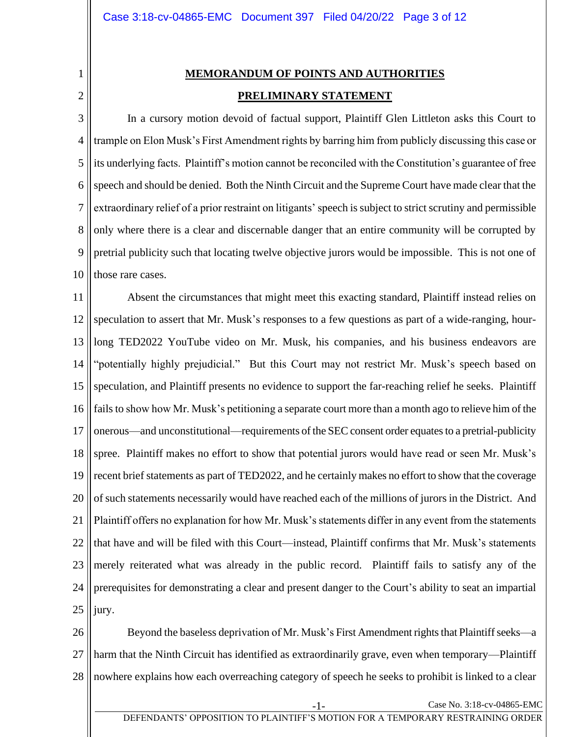<span id="page-2-0"></span>1 2

# **MEMORANDUM OF POINTS AND AUTHORITIES PRELIMINARY STATEMENT**

3 4 5 6 7 8 9 10 In a cursory motion devoid of factual support, Plaintiff Glen Littleton asks this Court to trample on Elon Musk's First Amendment rights by barring him from publicly discussing this case or its underlying facts. Plaintiff's motion cannot be reconciled with the Constitution's guarantee of free speech and should be denied. Both the Ninth Circuit and the Supreme Court have made clear that the extraordinary relief of a prior restraint on litigants' speech is subject to strict scrutiny and permissible only where there is a clear and discernable danger that an entire community will be corrupted by pretrial publicity such that locating twelve objective jurors would be impossible. This is not one of those rare cases.

11 12 13 14 15 16 17 18 19 20 21 22 23 24 25 Absent the circumstances that might meet this exacting standard, Plaintiff instead relies on speculation to assert that Mr. Musk's responses to a few questions as part of a wide-ranging, hourlong TED2022 YouTube video on Mr. Musk, his companies, and his business endeavors are "potentially highly prejudicial." But this Court may not restrict Mr. Musk's speech based on speculation, and Plaintiff presents no evidence to support the far-reaching relief he seeks. Plaintiff fails to show how Mr. Musk's petitioning a separate court more than a month ago to relieve him of the onerous—and unconstitutional—requirements of the SEC consent order equates to a pretrial-publicity spree. Plaintiff makes no effort to show that potential jurors would have read or seen Mr. Musk's recent brief statements as part of TED2022, and he certainly makes no effort to show that the coverage of such statements necessarily would have reached each of the millions of jurors in the District. And Plaintiff offers no explanation for how Mr. Musk's statements differ in any event from the statements that have and will be filed with this Court—instead, Plaintiff confirms that Mr. Musk's statements merely reiterated what was already in the public record. Plaintiff fails to satisfy any of the prerequisites for demonstrating a clear and present danger to the Court's ability to seat an impartial jury.

26 27 28 Beyond the baseless deprivation of Mr. Musk's First Amendment rights that Plaintiff seeks—a harm that the Ninth Circuit has identified as extraordinarily grave, even when temporary—Plaintiff nowhere explains how each overreaching category of speech he seeks to prohibit is linked to a clear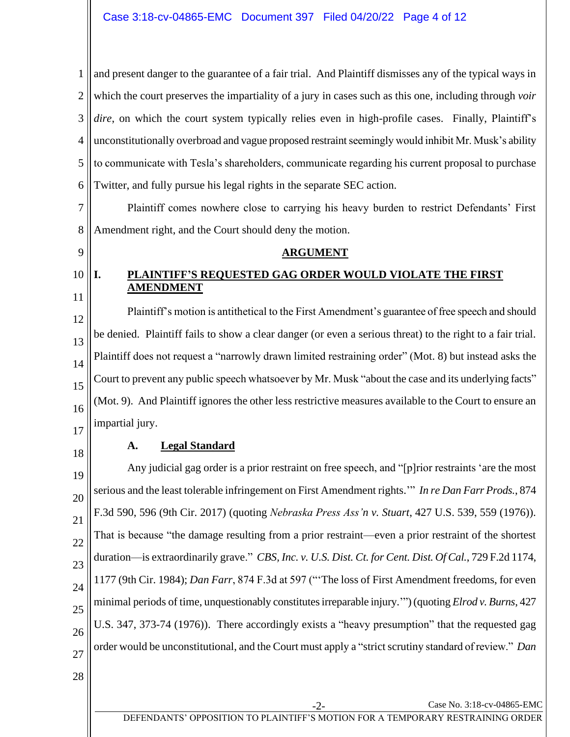1 2 3 4 5 6 and present danger to the guarantee of a fair trial. And Plaintiff dismisses any of the typical ways in which the court preserves the impartiality of a jury in cases such as this one, including through *voir dire*, on which the court system typically relies even in high-profile cases. Finally, Plaintiff's unconstitutionally overbroad and vague proposed restraint seemingly would inhibit Mr. Musk's ability to communicate with Tesla's shareholders, communicate regarding his current proposal to purchase Twitter, and fully pursue his legal rights in the separate SEC action.

7 8 Plaintiff comes nowhere close to carrying his heavy burden to restrict Defendants' First Amendment right, and the Court should deny the motion.

#### <span id="page-3-0"></span>9

10 11

### **ARGUMENT**

# <span id="page-3-1"></span>**I. PLAINTIFF'S REQUESTED GAG ORDER WOULD VIOLATE THE FIRST AMENDMENT**

12 13 14 15 16 17 Plaintiff's motion is antithetical to the First Amendment's guarantee of free speech and should be denied. Plaintiff fails to show a clear danger (or even a serious threat) to the right to a fair trial. Plaintiff does not request a "narrowly drawn limited restraining order" (Mot. 8) but instead asks the Court to prevent any public speech whatsoever by Mr. Musk "about the case and its underlying facts" (Mot. 9). And Plaintiff ignores the other less restrictive measures available to the Court to ensure an impartial jury.

<span id="page-3-2"></span>18

## **A. Legal Standard**

19 20 21 22 23 24 25 26 27 Any judicial gag order is a prior restraint on free speech, and "[p]rior restraints 'are the most serious and the least tolerable infringement on First Amendment rights.'" *In re Dan Farr Prods.*, 874 F.3d 590, 596 (9th Cir. 2017) (quoting *Nebraska Press Ass'n v. Stuart*, 427 U.S. 539, 559 (1976)). That is because "the damage resulting from a prior restraint—even a prior restraint of the shortest duration—is extraordinarily grave." *CBS, Inc. v. U.S. Dist. Ct. for Cent. Dist. Of Cal.*, 729 F.2d 1174, 1177 (9th Cir. 1984); *Dan Farr*, 874 F.3d at 597 ("'The loss of First Amendment freedoms, for even minimal periods of time, unquestionably constitutes irreparable injury.'") (quoting *Elrod v. Burns*, 427 U.S. 347, 373-74 (1976)).There accordingly exists a "heavy presumption" that the requested gag order would be unconstitutional, and the Court must apply a "strict scrutiny standard of review." *Dan*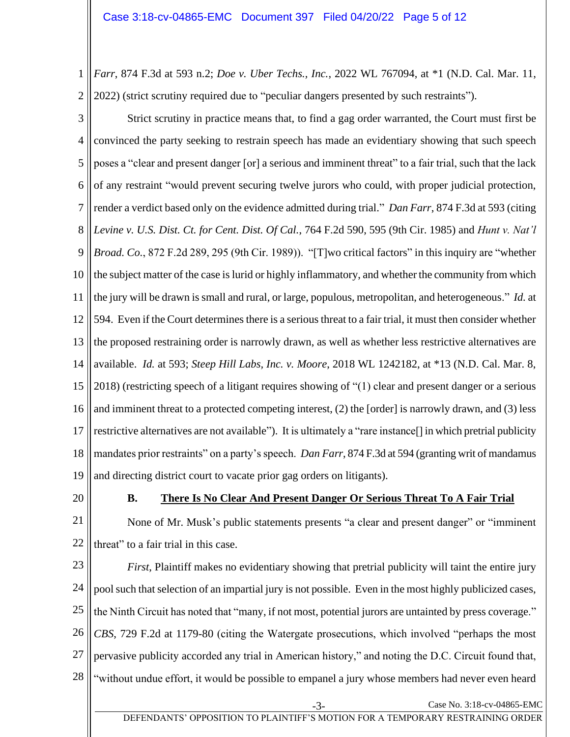1 2 *Farr*, 874 F.3d at 593 n.2; *Doe v. Uber Techs., Inc.*, 2022 WL 767094, at \*1 (N.D. Cal. Mar. 11, 2022) (strict scrutiny required due to "peculiar dangers presented by such restraints").

3 4 5 6 7 8 9 10 11 12 13 14 15 16 17 18 19 Strict scrutiny in practice means that, to find a gag order warranted, the Court must first be convinced the party seeking to restrain speech has made an evidentiary showing that such speech poses a "clear and present danger [or] a serious and imminent threat" to a fair trial, such that the lack of any restraint "would prevent securing twelve jurors who could, with proper judicial protection, render a verdict based only on the evidence admitted during trial." *Dan Farr*, 874 F.3d at 593 (citing *Levine v. U.S. Dist. Ct. for Cent. Dist. Of Cal.*, 764 F.2d 590, 595 (9th Cir. 1985) and *Hunt v. Nat'l Broad. Co.*, 872 F.2d 289, 295 (9th Cir. 1989)). "[T]wo critical factors" in this inquiry are "whether the subject matter of the case is lurid or highly inflammatory, and whether the community from which the jury will be drawn is small and rural, or large, populous, metropolitan, and heterogeneous." *Id.* at 594. Even if the Court determines there is a serious threat to a fair trial, it must then consider whether the proposed restraining order is narrowly drawn, as well as whether less restrictive alternatives are available. *Id.* at 593; *Steep Hill Labs, Inc. v. Moore*, 2018 WL 1242182, at \*13 (N.D. Cal. Mar. 8, 2018) (restricting speech of a litigant requires showing of "(1) clear and present danger or a serious and imminent threat to a protected competing interest, (2) the [order] is narrowly drawn, and (3) less restrictive alternatives are not available"). It is ultimately a "rare instance[] in which pretrial publicity mandates prior restraints" on a party's speech. *Dan Farr*, 874 F.3d at 594 (granting writ of mandamus and directing district court to vacate prior gag orders on litigants).

<span id="page-4-0"></span>20

## **B. There Is No Clear And Present Danger Or Serious Threat To A Fair Trial**

21 22 None of Mr. Musk's public statements presents "a clear and present danger" or "imminent threat" to a fair trial in this case.

23 24 25 26 27 28 *First*, Plaintiff makes no evidentiary showing that pretrial publicity will taint the entire jury poolsuch that selection of an impartial jury is not possible. Even in the most highly publicized cases, the Ninth Circuit has noted that "many, if not most, potential jurors are untainted by press coverage." *CBS*, 729 F.2d at 1179-80 (citing the Watergate prosecutions, which involved "perhaps the most pervasive publicity accorded any trial in American history," and noting the D.C. Circuit found that, "without undue effort, it would be possible to empanel a jury whose members had never even heard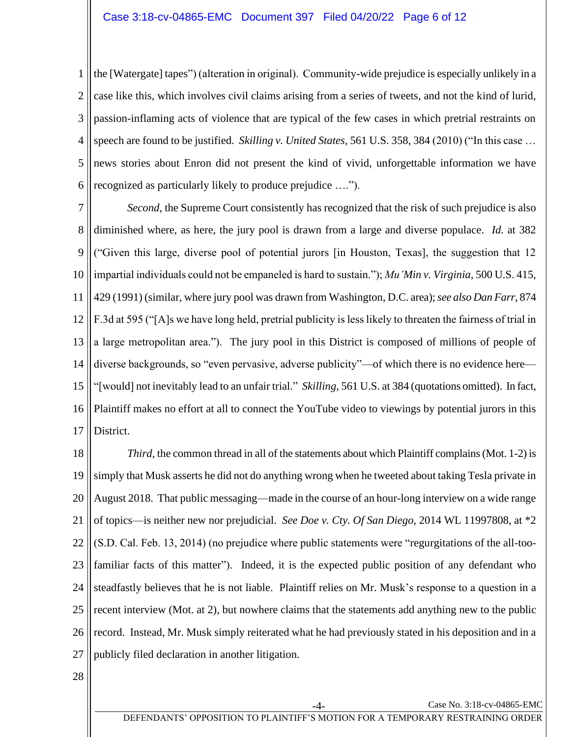1 2 3 4 5 6 the [Watergate] tapes") (alteration in original). Community-wide prejudice is especially unlikely in a case like this, which involves civil claims arising from a series of tweets, and not the kind of lurid, passion-inflaming acts of violence that are typical of the few cases in which pretrial restraints on speech are found to be justified. *Skilling v. United States*, 561 U.S. 358, 384 (2010) ("In this case … news stories about Enron did not present the kind of vivid, unforgettable information we have recognized as particularly likely to produce prejudice ….").

7 8 9 10 11 12 13 14 15 16 17 *Second*, the Supreme Court consistently has recognized that the risk of such prejudice is also diminished where, as here, the jury pool is drawn from a large and diverse populace. *Id.* at 382 ("Given this large, diverse pool of potential jurors [in Houston, Texas], the suggestion that 12 impartial individuals could not be empaneled is hard to sustain."); *Mu'Min v. Virginia*, 500 U.S. 415, 429 (1991) (similar, where jury pool was drawn from Washington, D.C. area); *see also Dan Farr*, 874 F.3d at 595 ("[A]s we have long held, pretrial publicity is less likely to threaten the fairness of trial in a large metropolitan area."). The jury pool in this District is composed of millions of people of diverse backgrounds, so "even pervasive, adverse publicity"—of which there is no evidence here— "[would] not inevitably lead to an unfair trial." *Skilling*, 561 U.S. at 384 (quotations omitted). In fact, Plaintiff makes no effort at all to connect the YouTube video to viewings by potential jurors in this District.

18 19 20 21 22 23 24 25 26 27 *Third*, the common thread in all of the statements about which Plaintiff complains (Mot. 1-2) is simply that Musk asserts he did not do anything wrong when he tweeted about taking Tesla private in August 2018. That public messaging—made in the course of an hour-long interview on a wide range of topics—is neither new nor prejudicial. *See Doe v. Cty. Of San Diego*, 2014 WL 11997808, at \*2 (S.D. Cal. Feb. 13, 2014) (no prejudice where public statements were "regurgitations of the all-toofamiliar facts of this matter"). Indeed, it is the expected public position of any defendant who steadfastly believes that he is not liable. Plaintiff relies on Mr. Musk's response to a question in a recent interview (Mot. at 2), but nowhere claims that the statements add anything new to the public record. Instead, Mr. Musk simply reiterated what he had previously stated in his deposition and in a publicly filed declaration in another litigation.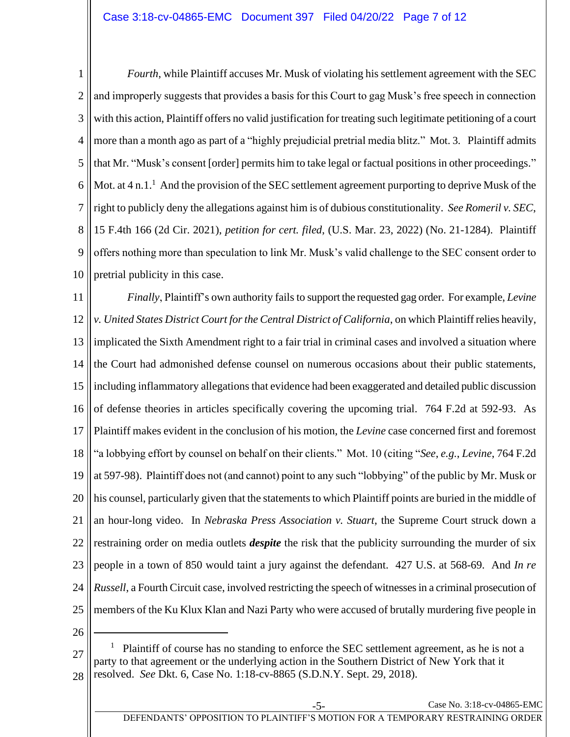1 2 3 4 5 6 7 8 9 10 *Fourth*, while Plaintiff accuses Mr. Musk of violating his settlement agreement with the SEC and improperly suggests that provides a basis for this Court to gag Musk's free speech in connection with this action, Plaintiff offers no valid justification for treating such legitimate petitioning of a court more than a month ago as part of a "highly prejudicial pretrial media blitz." Mot. 3. Plaintiff admits that Mr. "Musk's consent [order] permits him to take legal or factual positions in other proceedings." Mot. at  $4 \text{ n.} 1$ .<sup>1</sup> And the provision of the SEC settlement agreement purporting to deprive Musk of the right to publicly deny the allegations against him is of dubious constitutionality. *See Romeril v. SEC*, 15 F.4th 166 (2d Cir. 2021), *petition for cert. filed*, (U.S. Mar. 23, 2022) (No. 21-1284). Plaintiff offers nothing more than speculation to link Mr. Musk's valid challenge to the SEC consent order to pretrial publicity in this case.

11 12 13 14 15 16 17 18 19 20 21 22 23 24 25 *Finally*, Plaintiff's own authority fails to support the requested gag order. For example, *Levine v. United States District Court for the Central District of California*, on which Plaintiff relies heavily, implicated the Sixth Amendment right to a fair trial in criminal cases and involved a situation where the Court had admonished defense counsel on numerous occasions about their public statements, including inflammatory allegations that evidence had been exaggerated and detailed public discussion of defense theories in articles specifically covering the upcoming trial. 764 F.2d at 592-93. As Plaintiff makes evident in the conclusion of his motion, the *Levine* case concerned first and foremost "a lobbying effort by counsel on behalf on their clients." Mot. 10 (citing "*See*, *e.g.*, *Levine*, 764 F.2d at 597-98). Plaintiff does not (and cannot) point to any such "lobbying" of the public by Mr. Musk or his counsel, particularly given that the statements to which Plaintiff points are buried in the middle of an hour-long video. In *Nebraska Press Association v. Stuart*, the Supreme Court struck down a restraining order on media outlets *despite* the risk that the publicity surrounding the murder of six people in a town of 850 would taint a jury against the defendant. 427 U.S. at 568-69. And *In re Russell*, a Fourth Circuit case, involved restricting the speech of witnesses in a criminal prosecution of members of the Ku Klux Klan and Nazi Party who were accused of brutally murdering five people in

26

27 28 1 Plaintiff of course has no standing to enforce the SEC settlement agreement, as he is not a party to that agreement or the underlying action in the Southern District of New York that it resolved. *See* Dkt. 6, Case No. 1:18-cv-8865 (S.D.N.Y. Sept. 29, 2018).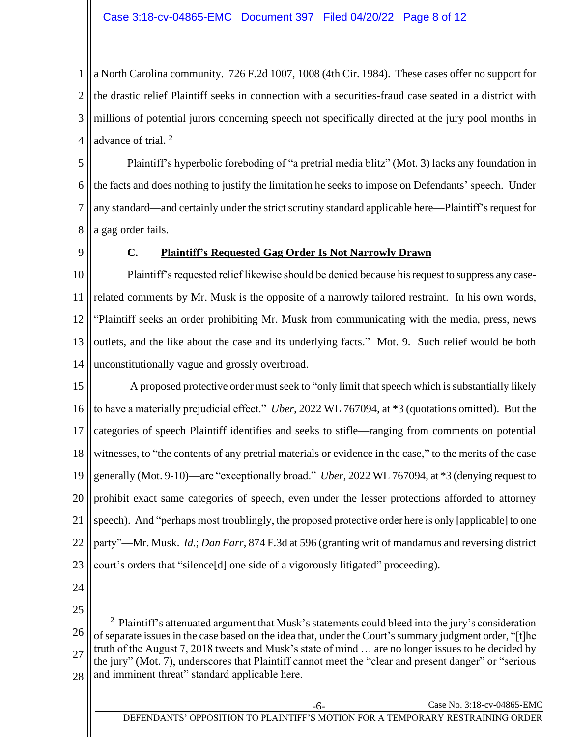1 2 3 4 a North Carolina community. 726 F.2d 1007, 1008 (4th Cir. 1984). These cases offer no support for the drastic relief Plaintiff seeks in connection with a securities-fraud case seated in a district with millions of potential jurors concerning speech not specifically directed at the jury pool months in advance of trial. <sup>2</sup>

5 6 7 8 Plaintiff's hyperbolic foreboding of "a pretrial media blitz" (Mot. 3) lacks any foundation in the facts and does nothing to justify the limitation he seeks to impose on Defendants' speech. Under any standard—and certainly under the strict scrutiny standard applicable here—Plaintiff'srequest for a gag order fails.

<span id="page-7-0"></span>9

### **C. Plaintiff's Requested Gag Order Is Not Narrowly Drawn**

10 11 12 13 14 Plaintiff's requested relief likewise should be denied because his request to suppress any caserelated comments by Mr. Musk is the opposite of a narrowly tailored restraint. In his own words, "Plaintiff seeks an order prohibiting Mr. Musk from communicating with the media, press, news outlets, and the like about the case and its underlying facts." Mot. 9. Such relief would be both unconstitutionally vague and grossly overbroad.

15 16 17 18 19 20 21 22 23 A proposed protective order must seek to "only limit that speech which is substantially likely to have a materially prejudicial effect." *Uber*, 2022 WL 767094, at \*3 (quotations omitted). But the categories of speech Plaintiff identifies and seeks to stifle—ranging from comments on potential witnesses, to "the contents of any pretrial materials or evidence in the case," to the merits of the case generally (Mot. 9-10)—are "exceptionally broad." *Uber*, 2022 WL 767094, at \*3 (denying request to prohibit exact same categories of speech, even under the lesser protections afforded to attorney speech). And "perhaps most troublingly, the proposed protective order here is only [applicable] to one party"—Mr. Musk. *Id.*; *Dan Farr*, 874 F.3d at 596 (granting writ of mandamus and reversing district court's orders that "silence[d] one side of a vigorously litigated" proceeding).

24 25

26 27 28 <sup>2</sup> Plaintiff's attenuated argument that Musk's statements could bleed into the jury's consideration of separate issues in the case based on the idea that, under the Court's summary judgment order, "[t]he truth of the August 7, 2018 tweets and Musk's state of mind … are no longer issues to be decided by the jury" (Mot. 7), underscores that Plaintiff cannot meet the "clear and present danger" or "serious and imminent threat" standard applicable here.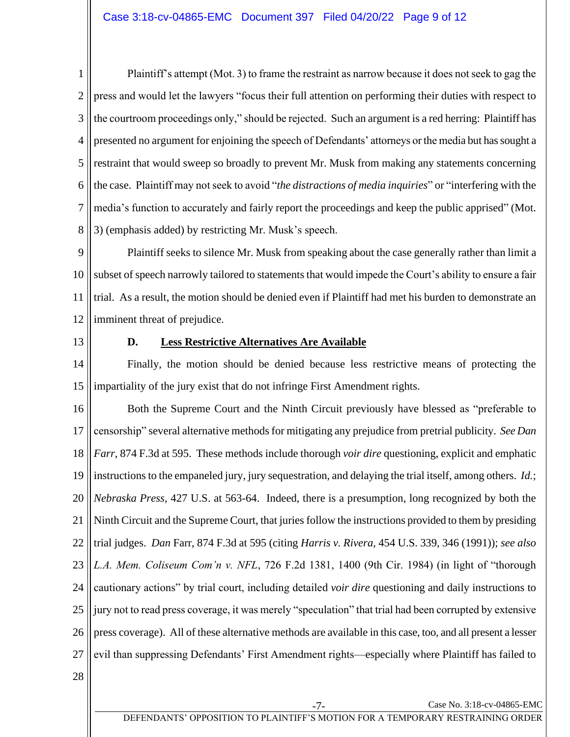1 2 3 4 5 6 7 8 Plaintiff's attempt (Mot. 3) to frame the restraint as narrow because it does not seek to gag the press and would let the lawyers "focus their full attention on performing their duties with respect to the courtroom proceedings only," should be rejected. Such an argument is a red herring: Plaintiff has presented no argument for enjoining the speech of Defendants' attorneys or the media but has sought a restraint that would sweep so broadly to prevent Mr. Musk from making any statements concerning the case. Plaintiff may not seek to avoid "*the distractions of media inquiries*" or "interfering with the media's function to accurately and fairly report the proceedings and keep the public apprised" (Mot. 3) (emphasis added) by restricting Mr. Musk's speech.

9 10 11 12 Plaintiff seeks to silence Mr. Musk from speaking about the case generally rather than limit a subset of speech narrowly tailored to statements that would impede the Court's ability to ensure a fair trial. As a result, the motion should be denied even if Plaintiff had met his burden to demonstrate an imminent threat of prejudice.

<span id="page-8-0"></span>13

## **D. Less Restrictive Alternatives Are Available**

14 15 Finally, the motion should be denied because less restrictive means of protecting the impartiality of the jury exist that do not infringe First Amendment rights.

16 17 18 19 20 21 22 23 24 25 26 27 Both the Supreme Court and the Ninth Circuit previously have blessed as "preferable to censorship" several alternative methods for mitigating any prejudice from pretrial publicity. *See Dan Farr*, 874 F.3d at 595. These methods include thorough *voir dire* questioning, explicit and emphatic instructions to the empaneled jury, jury sequestration, and delaying the trial itself, among others. *Id.*; *Nebraska Press*, 427 U.S. at 563-64.Indeed, there is a presumption, long recognized by both the Ninth Circuit and the Supreme Court, that juries follow the instructions provided to them by presiding trial judges. *Dan* Farr, 874 F.3d at 595 (citing *Harris v. Rivera*, 454 U.S. 339, 346 (1991)); *see also L.A. Mem. Coliseum Com'n v. NFL*, 726 F.2d 1381, 1400 (9th Cir. 1984) (in light of "thorough cautionary actions" by trial court, including detailed *voir dire* questioning and daily instructions to jury not to read press coverage, it was merely "speculation" that trial had been corrupted by extensive press coverage). All of these alternative methods are available in this case, too, and all present a lesser evil than suppressing Defendants' First Amendment rights—especially where Plaintiff has failed to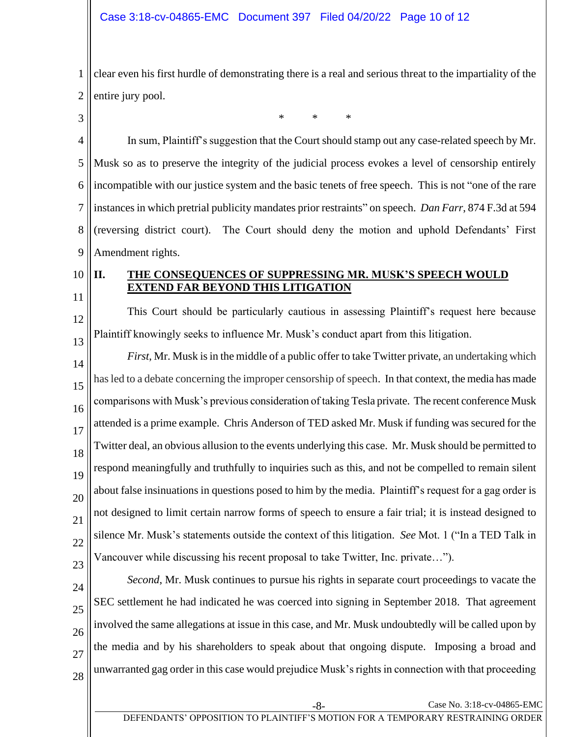1 2 clear even his first hurdle of demonstrating there is a real and serious threat to the impartiality of the entire jury pool.

\* \* \*

4 5 6 7 8 9 In sum, Plaintiff's suggestion that the Court should stamp out any case-related speech by Mr. Musk so as to preserve the integrity of the judicial process evokes a level of censorship entirely incompatible with our justice system and the basic tenets of free speech. This is not "one of the rare instances in which pretrial publicity mandates prior restraints" on speech. *Dan Farr*, 874 F.3d at 594 (reversing district court). The Court should deny the motion and uphold Defendants' First Amendment rights.

## <span id="page-9-0"></span>**II. THE CONSEQUENCES OF SUPPRESSING MR. MUSK'S SPEECH WOULD EXTEND FAR BEYOND THIS LITIGATION**

11 12

13

10

3

This Court should be particularly cautious in assessing Plaintiff's request here because Plaintiff knowingly seeks to influence Mr. Musk's conduct apart from this litigation.

14 15 16 17 18 19 20 21 22 23 *First*, Mr. Musk is in the middle of a public offer to take Twitter private, an undertaking which has led to a debate concerning the improper censorship of speech. In that context, the media has made comparisons with Musk's previous consideration of taking Tesla private. The recent conference Musk attended is a prime example. Chris Anderson of TED asked Mr. Musk if funding was secured for the Twitter deal, an obvious allusion to the events underlying this case. Mr. Musk should be permitted to respond meaningfully and truthfully to inquiries such as this, and not be compelled to remain silent about false insinuations in questions posed to him by the media. Plaintiff's request for a gag order is not designed to limit certain narrow forms of speech to ensure a fair trial; it is instead designed to silence Mr. Musk's statements outside the context of this litigation. *See* Mot. 1 ("In a TED Talk in Vancouver while discussing his recent proposal to take Twitter, Inc. private…").

24 25 26 27 *Second*, Mr. Musk continues to pursue his rights in separate court proceedings to vacate the SEC settlement he had indicated he was coerced into signing in September 2018. That agreement involved the same allegations at issue in this case, and Mr. Musk undoubtedly will be called upon by the media and by his shareholders to speak about that ongoing dispute. Imposing a broad and unwarranted gag order in this case would prejudice Musk's rights in connection with that proceeding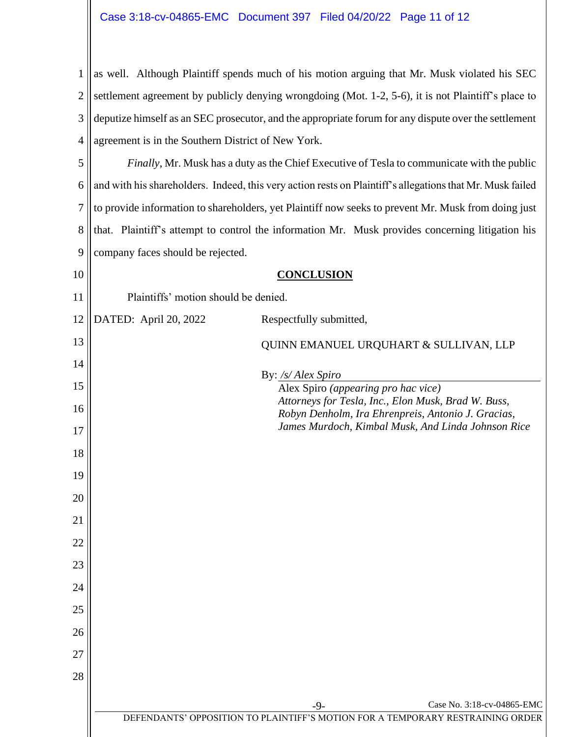1 2 3 4 as well. Although Plaintiff spends much of his motion arguing that Mr. Musk violated his SEC settlement agreement by publicly denying wrongdoing (Mot. 1-2, 5-6), it is not Plaintiff's place to deputize himself as an SEC prosecutor, and the appropriate forum for any dispute over the settlement agreement is in the Southern District of New York.

5 6 7 8 9 *Finally*, Mr. Musk has a duty as the Chief Executive of Tesla to communicate with the public and with his shareholders. Indeed, this very action rests on Plaintiff's allegations that Mr. Musk failed to provide information to shareholders, yet Plaintiff now seeks to prevent Mr. Musk from doing just that. Plaintiff's attempt to control the information Mr. Musk provides concerning litigation his company faces should be rejected.

<span id="page-10-0"></span>10

12

13

14

15

16

17

18

19

20

21

22

23

24

25

26

27

28

**CONCLUSION**

11 Plaintiffs' motion should be denied.

DATED: April 20, 2022 Respectfully submitted,

QUINN EMANUEL URQUHART & SULLIVAN, LLP

By: */s/ Alex Spiro* 

Alex Spiro *(appearing pro hac vice) Attorneys for Tesla, Inc., Elon Musk, Brad W. Buss, Robyn Denholm, Ira Ehrenpreis, Antonio J. Gracias, James Murdoch, Kimbal Musk, And Linda Johnson Rice* 

-9- Case No. 3:18-cv-04865-EMC

DEFENDANTS' OPPOSITION TO PLAINTIFF'S MOTION FOR A TEMPORARY RESTRAINING ORDER